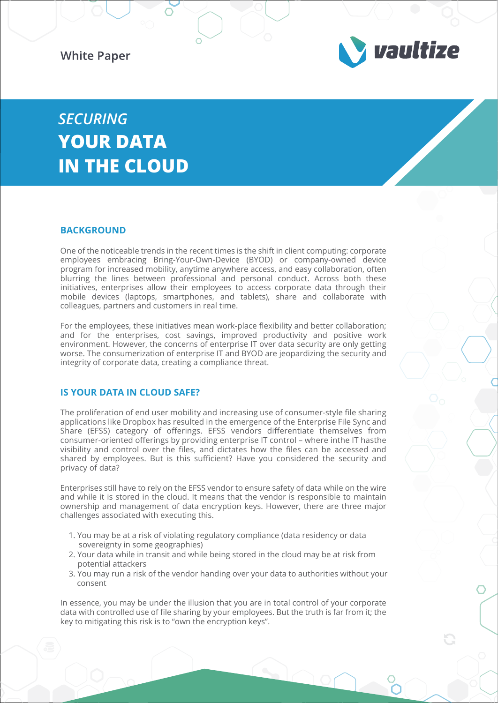**White Paper** 



# *SECURING* **YOUR DATA IN THE CLOUD**

#### **BACKGROUND**

One of the noticeable trends in the recent times is the shift in client computing: corporate employees embracing Bring-Your-Own-Device (BYOD) or company-owned device program for increased mobility, anytime anywhere access, and easy collaboration, often blurring the lines between professional and personal conduct. Across both these initiatives, enterprises allow their employees to access corporate data through their mobile devices (laptops, smartphones, and tablets), share and collaborate with colleagues, partners and customers in real time.

For the employees, these initiatives mean work-place flexibility and better collaboration; and for the enterprises, cost savings, improved productivity and positive work environment. However, the concerns of enterprise IT over data security are only getting worse. The consumerization of enterprise IT and BYOD are jeopardizing the security and integrity of corporate data, creating a compliance threat.

### **IS YOUR DATA IN CLOUD SAFE?**

The proliferation of end user mobility and increasing use of consumer-style file sharing applications like Dropbox has resulted in the emergence of the Enterprise File Sync and Share (EFSS) category of offerings. EFSS vendors differentiate themselves from consumer-oriented offerings by providing enterprise IT control – where inthe IT hasthe visibility and control over the files, and dictates how the files can be accessed and shared by employees. But is this sufficient? Have you considered the security and privacy of data?

Enterprises still have to rely on the EFSS vendor to ensure safety of data while on the wire and while it is stored in the cloud. It means that the vendor is responsible to maintain ownership and management of data encryption keys. However, there are three major challenges associated with executing this.

- 1. You may be at a risk of violating regulatory compliance (data residency or data sovereignty in some geographies)
- 2. Your data while in transit and while being stored in the cloud may be at risk from potential attackers
- 3. You may run a risk of the vendor handing over your data to authorities without your consent

In essence, you may be under the illusion that you are in total control of your corporate data with controlled use of file sharing by your employees. But the truth is far from it; the key to mitigating this risk is to "own the encryption keys".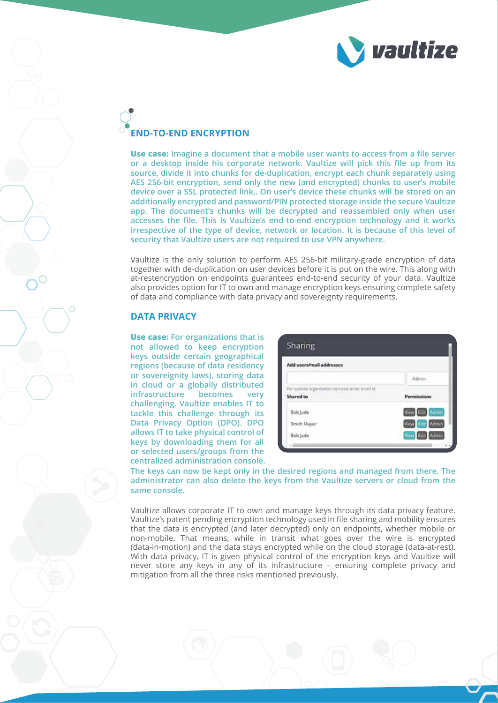

## **END-TO-END ENCRYPTION**

**Use case: Imagine a document that a mobile user wants to access from a file server or a desktop inside his corporate network. Vaultize will pick this file up from its source, divide it into chunks for de-duplication, encrypt each chunk separately using AES 256-bit encryption, send only the new (and encrypted) chunks to user's mobile device over a SSL protected link,. On user's device these chunks will be stored on an additionally encrypted and password/PIN protected storage inside the secure Vaultize app. The document's chunks will be decrypted and reassembled only when user accesses the file. This is Vaultize's end-to-end encryption technology and it works irrespective of the type of device, network or location. It is because of this level of security that Vaultize users are not required to use VPN anywhere.**

Vaultize is the only solution to perform AES 256-bit military-grade encryption of data together with de-duplication on user devices before it is put on the wire. This along with at-restencryption on endpoints guarantees end-to-end security of your data. Vaultize also provides option for IT to own and manage encryption keys ensuring complete safety of data and compliance with data privacy and sovereignty requirements.

#### **DATA PRIVACY**

**centralized administration console. Use case: For organizations that is not allowed to keep encryption keys outside certain geographical regions (because of data residency or sovereignity laws), storing data in cloud or a globally distributed infrastructure becomes very challenging. Vaultize enables IT to tackle this challenge through its Data Privacy Option (DPO). DPO allows IT to take physical control of keys by downloading them for all or selected users/groups from the** 

| Add users/mail addresses                         |                               |
|--------------------------------------------------|-------------------------------|
|                                                  |                               |
| For outside organization contacts enter email id |                               |
| Shared to                                        | <b>Permissions</b>            |
| Bob Jude                                         | View Edit, Admin              |
| Smith Mayer                                      | Admin<br>View<br><b>Edit</b>  |
| Bob Jude                                         | <b>Admin</b><br>View!<br>1200 |

**The keys can now be kept only in the desired regions and managed from there. The administrator can also delete the keys from the Vaultize servers or cloud from the same console.**

Vaultize allows corporate IT to own and manage keys through its data privacy feature. Vaultize's patent pending encryption technology used in file sharing and mobility ensures that the data is encrypted (and later decrypted) only on endpoints, whether mobile or non-mobile. That means, while in transit what goes over the wire is encrypted (data-in-motion) and the data stays encrypted while on the cloud storage (data-at-rest). With data privacy, IT is given physical control of the encryption keys and Vaultize will never store any keys in any of its infrastructure – ensuring complete privacy and mitigation from all the three risks mentioned previously.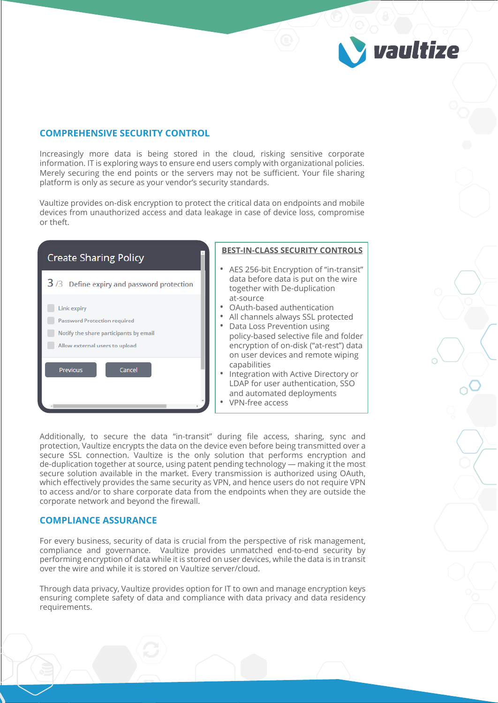#### **COMPREHENSIVE SECURITY CONTROL**

Increasingly more data is being stored in the cloud, risking sensitive corporate information. IT is exploring ways to ensure end users comply with organizational policies. Merely securing the end points or the servers may not be sufficient. Your file sharing platform is only as secure as your vendor's security standards.

vaultize

Vaultize provides on-disk encryption to protect the critical data on endpoints and mobile devices from unauthorized access and data leakage in case of device loss, compromise or theft.



Additionally, to secure the data "in-transit" during file access, sharing, sync and protection, Vaultize encrypts the data on the device even before being transmitted over a secure SSL connection. Vaultize is the only solution that performs encryption and de-duplication together at source, using patent pending technology — making it the most secure solution available in the market. Every transmission is authorized using OAuth, which effectively provides the same security as VPN, and hence users do not require VPN to access and/or to share corporate data from the endpoints when they are outside the corporate network and beyond the firewall.

#### **COMPLIANCE ASSURANCE**

For every business, security of data is crucial from the perspective of risk management, compliance and governance. Vaultize provides unmatched end-to-end security by performing encryption of data while it is stored on user devices, while the data is in transit over the wire and while it is stored on Vaultize server/cloud.

Through data privacy, Vaultize provides option for IT to own and manage encryption keys ensuring complete safety of data and compliance with data privacy and data residency requirements.